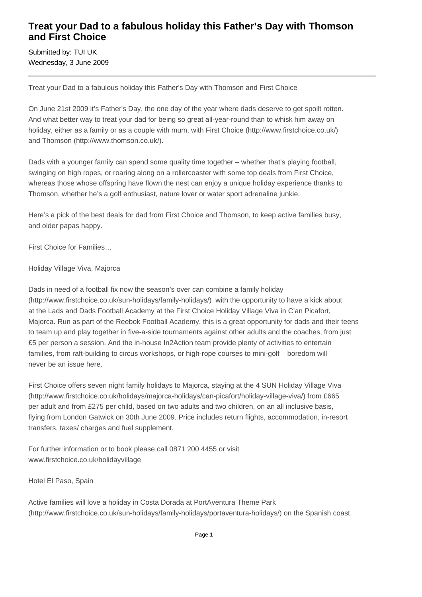## **Treat your Dad to a fabulous holiday this Father's Day with Thomson and First Choice**

Submitted by: TUI UK Wednesday, 3 June 2009

Treat your Dad to a fabulous holiday this Father's Day with Thomson and First Choice

On June 21st 2009 it's Father's Day, the one day of the year where dads deserve to get spoilt rotten. And what better way to treat your dad for being so great all-year-round than to whisk him away on holiday, either as a family or as a couple with mum, with First Choice (http://www.firstchoice.co.uk/) and Thomson (http://www.thomson.co.uk/).

Dads with a younger family can spend some quality time together – whether that's playing football, swinging on high ropes, or roaring along on a rollercoaster with some top deals from First Choice, whereas those whose offspring have flown the nest can enjoy a unique holiday experience thanks to Thomson, whether he's a golf enthusiast, nature lover or water sport adrenaline junkie.

Here's a pick of the best deals for dad from First Choice and Thomson, to keep active families busy, and older papas happy.

First Choice for Families…

Holiday Village Viva, Majorca

Dads in need of a football fix now the season's over can combine a family holiday (http://www.firstchoice.co.uk/sun-holidays/family-holidays/) with the opportunity to have a kick about at the Lads and Dads Football Academy at the First Choice Holiday Village Viva in C'an Picafort, Majorca. Run as part of the Reebok Football Academy, this is a great opportunity for dads and their teens to team up and play together in five-a-side tournaments against other adults and the coaches, from just £5 per person a session. And the in-house In2Action team provide plenty of activities to entertain families, from raft-building to circus workshops, or high-rope courses to mini-golf – boredom will never be an issue here.

First Choice offers seven night family holidays to Majorca, staying at the 4 SUN Holiday Village Viva (http://www.firstchoice.co.uk/holidays/majorca-holidays/can-picafort/holiday-village-viva/) from £665 per adult and from £275 per child, based on two adults and two children, on an all inclusive basis, flying from London Gatwick on 30th June 2009. Price includes return flights, accommodation, in-resort transfers, taxes/ charges and fuel supplement.

For further information or to book please call 0871 200 4455 or visit www.firstchoice.co.uk/holidayvillage

Hotel El Paso, Spain

Active families will love a holiday in Costa Dorada at PortAventura Theme Park (http://www.firstchoice.co.uk/sun-holidays/family-holidays/portaventura-holidays/) on the Spanish coast.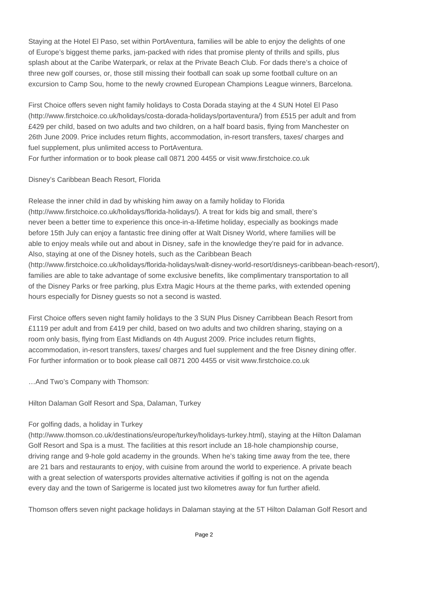Staying at the Hotel El Paso, set within PortAventura, families will be able to enjoy the delights of one of Europe's biggest theme parks, jam-packed with rides that promise plenty of thrills and spills, plus splash about at the Caribe Waterpark, or relax at the Private Beach Club. For dads there's a choice of three new golf courses, or, those still missing their football can soak up some football culture on an excursion to Camp Sou, home to the newly crowned European Champions League winners, Barcelona.

First Choice offers seven night family holidays to Costa Dorada staying at the 4 SUN Hotel El Paso (http://www.firstchoice.co.uk/holidays/costa-dorada-holidays/portaventura/) from £515 per adult and from £429 per child, based on two adults and two children, on a half board basis, flying from Manchester on 26th June 2009. Price includes return flights, accommodation, in-resort transfers, taxes/ charges and fuel supplement, plus unlimited access to PortAventura.

For further information or to book please call 0871 200 4455 or visit www.firstchoice.co.uk

#### Disney's Caribbean Beach Resort, Florida

Release the inner child in dad by whisking him away on a family holiday to Florida (http://www.firstchoice.co.uk/holidays/florida-holidays/). A treat for kids big and small, there's never been a better time to experience this once-in-a-lifetime holiday, especially as bookings made before 15th July can enjoy a fantastic free dining offer at Walt Disney World, where families will be able to enjoy meals while out and about in Disney, safe in the knowledge they're paid for in advance. Also, staying at one of the Disney hotels, such as the Caribbean Beach (http://www.firstchoice.co.uk/holidays/florida-holidays/walt-disney-world-resort/disneys-caribbean-beach-resort/), families are able to take advantage of some exclusive benefits, like complimentary transportation to all of the Disney Parks or free parking, plus Extra Magic Hours at the theme parks, with extended opening hours especially for Disney guests so not a second is wasted.

First Choice offers seven night family holidays to the 3 SUN Plus Disney Carribbean Beach Resort from £1119 per adult and from £419 per child, based on two adults and two children sharing, staying on a room only basis, flying from East Midlands on 4th August 2009. Price includes return flights, accommodation, in-resort transfers, taxes/ charges and fuel supplement and the free Disney dining offer. For further information or to book please call 0871 200 4455 or visit www.firstchoice.co.uk

…And Two's Company with Thomson:

Hilton Dalaman Golf Resort and Spa, Dalaman, Turkey

### For golfing dads, a holiday in Turkey

(http://www.thomson.co.uk/destinations/europe/turkey/holidays-turkey.html), staying at the Hilton Dalaman Golf Resort and Spa is a must. The facilities at this resort include an 18-hole championship course, driving range and 9-hole gold academy in the grounds. When he's taking time away from the tee, there are 21 bars and restaurants to enjoy, with cuisine from around the world to experience. A private beach with a great selection of watersports provides alternative activities if golfing is not on the agenda every day and the town of Sarigerme is located just two kilometres away for fun further afield.

Thomson offers seven night package holidays in Dalaman staying at the 5T Hilton Dalaman Golf Resort and